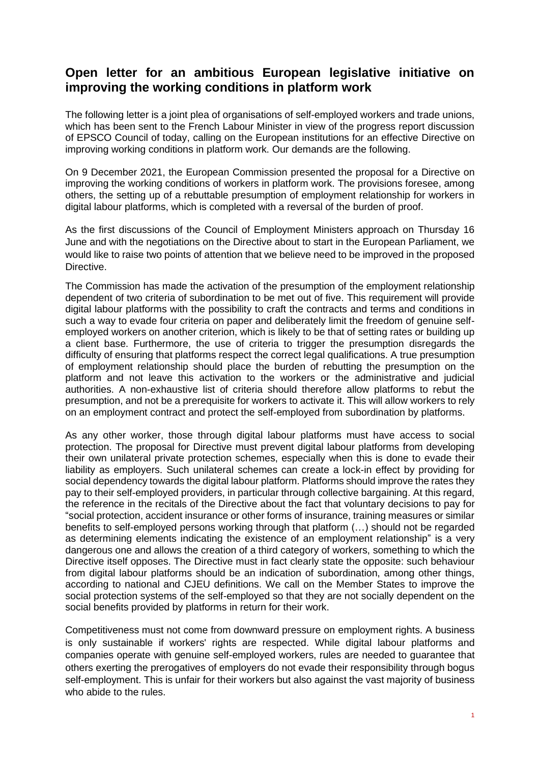## **Open letter for an ambitious European legislative initiative on improving the working conditions in platform work**

The following letter is a joint plea of organisations of self-employed workers and trade unions, which has been sent to the French Labour Minister in view of the progress report discussion of EPSCO Council of today, calling on the European institutions for an effective Directive on improving working conditions in platform work. Our demands are the following.

On 9 December 2021, the European Commission presented the proposal for a Directive on improving the working conditions of workers in platform work. The provisions foresee, among others, the setting up of a rebuttable presumption of employment relationship for workers in digital labour platforms, which is completed with a reversal of the burden of proof.

As the first discussions of the Council of Employment Ministers approach on Thursday 16 June and with the negotiations on the Directive about to start in the European Parliament, we would like to raise two points of attention that we believe need to be improved in the proposed Directive.

The Commission has made the activation of the presumption of the employment relationship dependent of two criteria of subordination to be met out of five. This requirement will provide digital labour platforms with the possibility to craft the contracts and terms and conditions in such a way to evade four criteria on paper and deliberately limit the freedom of genuine selfemployed workers on another criterion, which is likely to be that of setting rates or building up a client base. Furthermore, the use of criteria to trigger the presumption disregards the difficulty of ensuring that platforms respect the correct legal qualifications. A true presumption of employment relationship should place the burden of rebutting the presumption on the platform and not leave this activation to the workers or the administrative and judicial authorities. A non-exhaustive list of criteria should therefore allow platforms to rebut the presumption, and not be a prerequisite for workers to activate it. This will allow workers to rely on an employment contract and protect the self-employed from subordination by platforms.

As any other worker, those through digital labour platforms must have access to social protection. The proposal for Directive must prevent digital labour platforms from developing their own unilateral private protection schemes, especially when this is done to evade their liability as employers. Such unilateral schemes can create a lock-in effect by providing for social dependency towards the digital labour platform. Platforms should improve the rates they pay to their self-employed providers, in particular through collective bargaining. At this regard, the reference in the recitals of the Directive about the fact that voluntary decisions to pay for "social protection, accident insurance or other forms of insurance, training measures or similar benefits to self-employed persons working through that platform (…) should not be regarded as determining elements indicating the existence of an employment relationship" is a very dangerous one and allows the creation of a third category of workers, something to which the Directive itself opposes. The Directive must in fact clearly state the opposite: such behaviour from digital labour platforms should be an indication of subordination, among other things, according to national and CJEU definitions. We call on the Member States to improve the social protection systems of the self-employed so that they are not socially dependent on the social benefits provided by platforms in return for their work.

Competitiveness must not come from downward pressure on employment rights. A business is only sustainable if workers' rights are respected. While digital labour platforms and companies operate with genuine self-employed workers, rules are needed to guarantee that others exerting the prerogatives of employers do not evade their responsibility through bogus self-employment. This is unfair for their workers but also against the vast majority of business who abide to the rules.